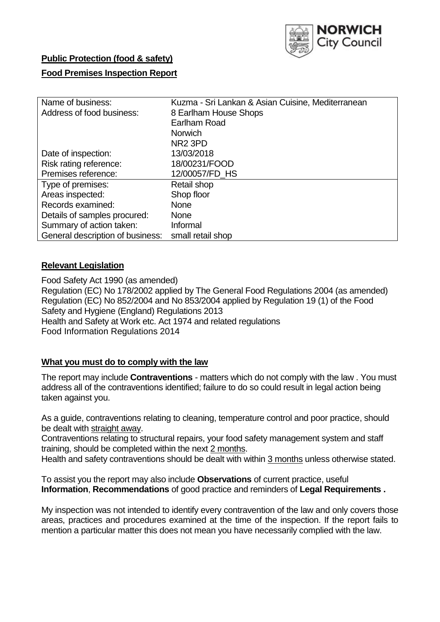

# **Public Protection (food & safety)**

# **Food Premises Inspection Report**

| Name of business:                | Kuzma - Sri Lankan & Asian Cuisine, Mediterranean |  |  |  |  |  |
|----------------------------------|---------------------------------------------------|--|--|--|--|--|
| Address of food business:        | 8 Earlham House Shops                             |  |  |  |  |  |
|                                  | Earlham Road                                      |  |  |  |  |  |
|                                  | <b>Norwich</b>                                    |  |  |  |  |  |
|                                  | NR <sub>2</sub> 3PD                               |  |  |  |  |  |
| Date of inspection:              | 13/03/2018                                        |  |  |  |  |  |
| Risk rating reference:           | 18/00231/FOOD                                     |  |  |  |  |  |
| Premises reference:              | 12/00057/FD_HS                                    |  |  |  |  |  |
| Type of premises:                | Retail shop                                       |  |  |  |  |  |
| Areas inspected:                 | Shop floor                                        |  |  |  |  |  |
| Records examined:                | None                                              |  |  |  |  |  |
| Details of samples procured:     | <b>None</b>                                       |  |  |  |  |  |
| Summary of action taken:         | Informal                                          |  |  |  |  |  |
| General description of business: | small retail shop                                 |  |  |  |  |  |

# **Relevant Legislation**

Food Safety Act 1990 (as amended) Regulation (EC) No 178/2002 applied by The General Food Regulations 2004 (as amended) Regulation (EC) No 852/2004 and No 853/2004 applied by Regulation 19 (1) of the Food Safety and Hygiene (England) Regulations 2013 Health and Safety at Work etc. Act 1974 and related regulations Food Information Regulations 2014

# **What you must do to comply with the law**

The report may include **Contraventions** - matters which do not comply with the law . You must address all of the contraventions identified; failure to do so could result in legal action being taken against you.

As a guide, contraventions relating to cleaning, temperature control and poor practice, should be dealt with straight away.

Contraventions relating to structural repairs, your food safety management system and staff training, should be completed within the next 2 months.

Health and safety contraventions should be dealt with within 3 months unless otherwise stated.

To assist you the report may also include **Observations** of current practice, useful **Information**, **Recommendations** of good practice and reminders of **Legal Requirements .**

My inspection was not intended to identify every contravention of the law and only covers those areas, practices and procedures examined at the time of the inspection. If the report fails to mention a particular matter this does not mean you have necessarily complied with the law.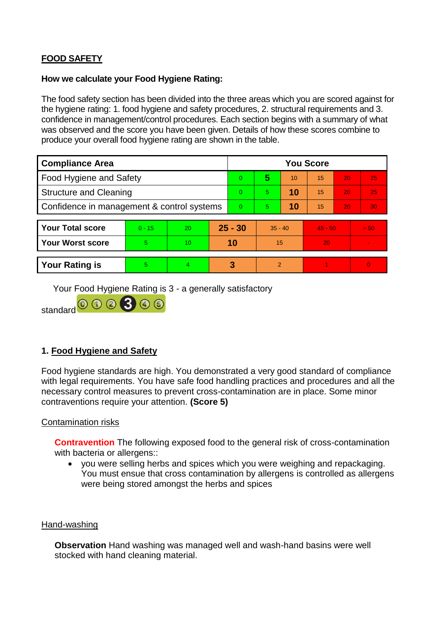# **FOOD SAFETY**

## **How we calculate your Food Hygiene Rating:**

The food safety section has been divided into the three areas which you are scored against for the hygiene rating: 1. food hygiene and safety procedures, 2. structural requirements and 3. confidence in management/control procedures. Each section begins with a summary of what was observed and the score you have been given. Details of how these scores combine to produce your overall food hygiene rating are shown in the table.

| <b>Compliance Area</b>                     |          |    |           | <b>You Score</b> |                |    |           |    |          |  |  |
|--------------------------------------------|----------|----|-----------|------------------|----------------|----|-----------|----|----------|--|--|
| Food Hygiene and Safety                    |          |    |           | $\overline{0}$   | 5              | 10 | 15        | 20 | 25       |  |  |
| <b>Structure and Cleaning</b>              |          |    |           | $\Omega$         | 5.             | 10 | 15        | 20 | 25       |  |  |
| Confidence in management & control systems |          |    |           | $\Omega$         | 5              | 10 | 15        | 20 | 30       |  |  |
|                                            |          |    |           |                  |                |    |           |    |          |  |  |
| <b>Your Total score</b>                    | $0 - 15$ | 20 | $25 - 30$ |                  | $35 - 40$      |    | $45 - 50$ |    | > 50     |  |  |
| <b>Your Worst score</b>                    | 5.       | 10 | 10        |                  | 15             |    | 20        |    |          |  |  |
|                                            |          |    |           |                  |                |    |           |    |          |  |  |
| <b>Your Rating is</b>                      | 5        | 4  |           | 3                | $\overline{2}$ |    |           |    | $\Omega$ |  |  |

Your Food Hygiene Rating is 3 - a generally satisfactory

standard  $0000300$ 

# **1. Food Hygiene and Safety**

Food hygiene standards are high. You demonstrated a very good standard of compliance with legal requirements. You have safe food handling practices and procedures and all the necessary control measures to prevent cross-contamination are in place. Some minor contraventions require your attention. **(Score 5)**

# Contamination risks

**Contravention** The following exposed food to the general risk of cross-contamination with bacteria or allergens::

 you were selling herbs and spices which you were weighing and repackaging. You must ensue that cross contamination by allergens is controlled as allergens were being stored amongst the herbs and spices

#### Hand-washing

**Observation** Hand washing was managed well and wash-hand basins were well stocked with hand cleaning material.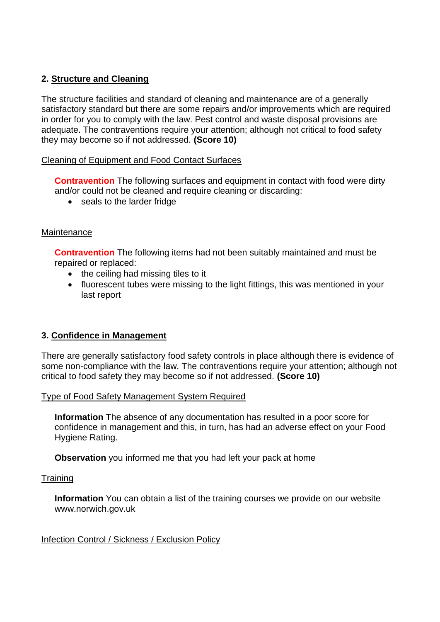# **2. Structure and Cleaning**

The structure facilities and standard of cleaning and maintenance are of a generally satisfactory standard but there are some repairs and/or improvements which are required in order for you to comply with the law. Pest control and waste disposal provisions are adequate. The contraventions require your attention; although not critical to food safety they may become so if not addressed. **(Score 10)**

## Cleaning of Equipment and Food Contact Surfaces

**Contravention** The following surfaces and equipment in contact with food were dirty and/or could not be cleaned and require cleaning or discarding:

• seals to the larder fridge

# **Maintenance**

**Contravention** The following items had not been suitably maintained and must be repaired or replaced:

- the ceiling had missing tiles to it
- fluorescent tubes were missing to the light fittings, this was mentioned in your last report

# **3. Confidence in Management**

There are generally satisfactory food safety controls in place although there is evidence of some non-compliance with the law. The contraventions require your attention; although not critical to food safety they may become so if not addressed. **(Score 10)**

Type of Food Safety Management System Required

**Information** The absence of any documentation has resulted in a poor score for confidence in management and this, in turn, has had an adverse effect on your Food Hygiene Rating.

**Observation** you informed me that you had left your pack at home

#### **Training**

**Information** You can obtain a list of the training courses we provide on our website www.norwich.gov.uk

#### Infection Control / Sickness / Exclusion Policy